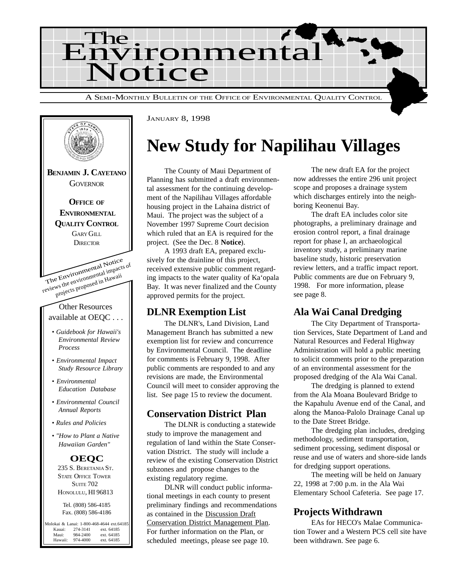



JANUARY 8, 1998

## **New Study for Napilihau Villages**

The County of Maui Department of Planning has submitted a draft environmental assessment for the continuing development of the Napilihau Villages affordable housing project in the Lahaina district of Maui. The project was the subject of a November 1997 Supreme Court decision which ruled that an EA is required for the project. (See the Dec. 8 **Notice**).

A 1993 draft EA, prepared exclusively for the drainline of this project, received extensive public comment regarding impacts to the water quality of Ka'opala Bay. It was never finalized and the County approved permits for the project.

### **DLNR Exemption List**

The DLNR's, Land Division, Land Management Branch has submitted a new exemption list for review and concurrence by Environmental Council. The deadline for comments is February 9, 1998. After public comments are responded to and any revisions are made, the Environmental Council will meet to consider approving the list. See page 15 to review the document.

### **Conservation District Plan**

The DLNR is conducting a statewide study to improve the management and regulation of land within the State Conservation District. The study will include a review of the existing Conservation District subzones and propose changes to the existing regulatory regime.

DLNR will conduct public informational meetings in each county to present preliminary findings and recommendations as contained in the Discussion Draft Conservation District Management Plan. For further information on the Plan, or scheduled meetings, please see page 10.

The new draft EA for the project now addresses the entire 296 unit project scope and proposes a drainage system which discharges entirely into the neighboring Keonenui Bay.

The draft EA includes color site photographs, a preliminary drainage and erosion control report, a final drainage report for phase I, an archaeological inventory study, a preliminary marine baseline study, historic preservation review letters, and a traffic impact report. Public comments are due on February 9, 1998. For more information, please see page 8.

### **Ala Wai Canal Dredging**

The City Department of Transportation Services, State Department of Land and Natural Resources and Federal Highway Administration will hold a public meeting to solicit comments prior to the preparation of an environmental assessment for the proposed dredging of the Ala Wai Canal.

The dredging is planned to extend from the Ala Moana Boulevard Bridge to the Kapahulu Avenue end of the Canal, and along the Manoa-Palolo Drainage Canal up to the Date Street Bridge.

The dredging plan includes, dredging methodology, sediment transportation, sediment processing, sediment disposal or reuse and use of waters and shore-side lands for dredging support operations.

The meeting will be held on January 22, 1998 at 7:00 p.m. in the Ala Wai Elementary School Cafeteria. See page 17.

## **Projects Withdrawn**

EAs for HECO's Malae Communication Tower and a Western PCS cell site have been withdrawn. See page 6.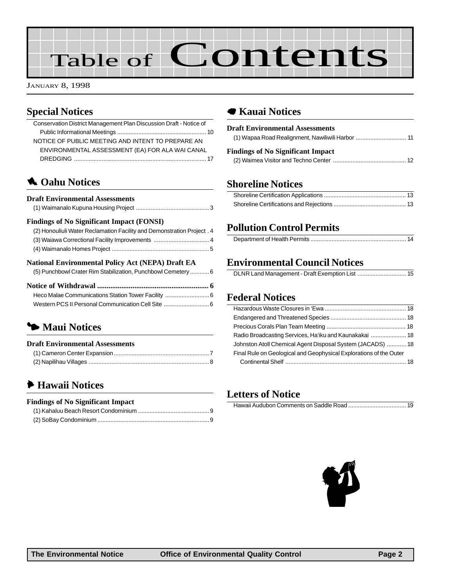# Table of Contents

JANUARY 8, 1998

## **Special Notices**

| Conservation District Management Plan Discussion Draft - Notice of     |
|------------------------------------------------------------------------|
|                                                                        |
| NOTICE OF PUBLIC MEETING AND INTENT TO PREPARE AN                      |
| ENVIRONMENTAL ASSESSMENT (EA) FOR ALA WAI CANAL                        |
|                                                                        |
| <b>A.</b> Oahu Notices                                                 |
|                                                                        |
| <b>Draft Environmental Assessments</b>                                 |
|                                                                        |
| <b>Findings of No Significant Impact (FONSI)</b>                       |
| (2) Honouliuli Water Reclamation Facility and Demonstration Project. 4 |
| (3) Waiawa Correctional Facility Improvements  4                       |
|                                                                        |
| <b>National Environmental Policy Act (NEPA) Draft EA</b>               |
| (5) Punchbowl Crater Rim Stabilization, Punchbowl Cemetery 6           |
|                                                                        |
| Heco Malae Communications Station Tower Facility  6                    |
|                                                                        |
|                                                                        |
| • Maui Notices                                                         |

## **Draft Environmental Assessments**

| Di ulv Lill i li villivlivul i loovoolitivliv |  |
|-----------------------------------------------|--|
|                                               |  |
|                                               |  |

## 6 **Hawaii Notices**

#### **Findings of No Significant Impact** [\(1\) Kahaluu Beach Resort Condominium ............................................9](#page-8-0)

## 7 **Kauai Notices**

| <b>Draft Environmental Assessments</b>   |  |
|------------------------------------------|--|
|                                          |  |
| <b>Findings of No Significant Impact</b> |  |
|                                          |  |
|                                          |  |

### **Shoreline Notices**

## **Pollution Control Permits**

## **Environmental Council Notices**

### **Federal Notices**

| Johnston Atoll Chemical Agent Disposal System (JACADS)  18         |  |
|--------------------------------------------------------------------|--|
| Final Rule on Geological and Geophysical Explorations of the Outer |  |
|                                                                    |  |

### **Letters of Notice**

|--|--|--|

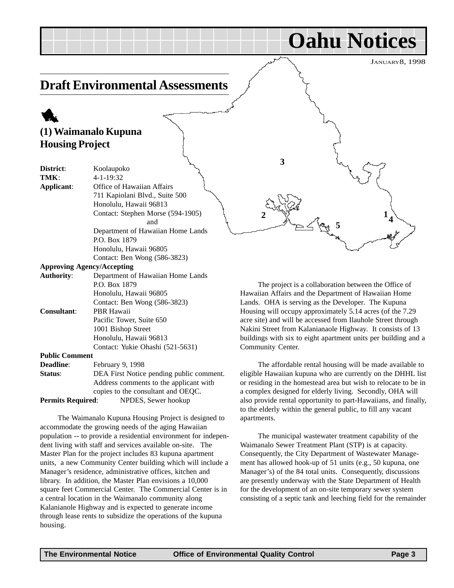JANUARY8, 1998

## <span id="page-2-0"></span>**Draft Environmental Assessments**

## 1 **(1) Waimanalo Kupuna Housing Project**

| District:             | Koolaupoko                               |
|-----------------------|------------------------------------------|
| TMK:                  | 4-1-19:32                                |
| Applicant:            | Office of Hawaiian Affairs               |
|                       | 711 Kapiolani Blvd., Suite 500           |
|                       | Honolulu, Hawaii 96813                   |
|                       | Contact: Stephen Morse (594-1905)        |
|                       | and                                      |
|                       | Department of Hawaiian Home Lands        |
|                       | P.O. Box 1879                            |
|                       | Honolulu, Hawaii 96805                   |
|                       | Contact: Ben Wong (586-3823)             |
|                       | <b>Approving Agency/Accepting</b>        |
| <b>Authority:</b>     | Department of Hawaiian Home Lands        |
|                       | P.O. Box 1879                            |
|                       | Honolulu, Hawaii 96805                   |
|                       | Contact: Ben Wong (586-3823)             |
| <b>Consultant:</b>    | <b>PBR Hawaii</b>                        |
|                       | Pacific Tower, Suite 650                 |
|                       | 1001 Bishop Street                       |
|                       | Honolulu, Hawaii 96813                   |
|                       | Contact: Yukie Ohashi (521-5631)         |
| <b>Public Comment</b> |                                          |
| <b>Deadline:</b>      | February 9, 1998                         |
| Status:               | DEA First Notice pending public comment. |
|                       | Address comments to the applicant with   |
|                       | copies to the consultant and OEQC.       |

**Permits Required**: NPDES, Sewer hookup

The Waimanalo Kupuna Housing Project is designed to accommodate the growing needs of the aging Hawaiian population -- to provide a residential environment for independent living with staff and services available on-site. The Master Plan for the project includes 83 kupuna apartment units, a new Community Center building which will include a Manager's residence, administrative offices, kitchen and library. In addition, the Master Plan envisions a 10,000 square feet Commercial Center. The Commercial Center is in a central location in the Waimanalo community along Kalanianole Highway and is expected to generate income through lease rents to subsidize the operations of the kupuna housing.

The project is a collaboration between the Office of Hawaiian Affairs and the Department of Hawaiian Home Lands. OHA is serving as the Developer. The Kupuna Housing will occupy approximately 5.14 acres (of the 7.29 acre site) and will be accessed from Ilauhole Street through Nakini Street from Kalanianaole Highway. It consists of 13 buildings with six to eight apartment units per building and a Community Center.

 $2 \frac{1}{2}$  **1** 

 $\frac{1}{5}$   $\frac{1}{4}$ 

**3**

The affordable rental housing will be made available to eligible Hawaiian kupuna who are currently on the DHHL list or residing in the homestead area but wish to relocate to be in a complex designed for elderly living. Secondly, OHA will also provide rental opportunity to part-Hawaiians, and finally, to the elderly within the general public, to fill any vacant apartments.

The municipal wastewater treatment capability of the Waimanalo Sewer Treatment Plant (STP) is at capacity. Consequently, the City Department of Wastewater Management has allowed hook-up of 51 units (e.g., 50 kupuna, one Manager's) of the 84 total units. Consequently, discussions are presently underway with the State Department of Health for the development of an on-site temporary sewer system consisting of a septic tank and leeching field for the remainder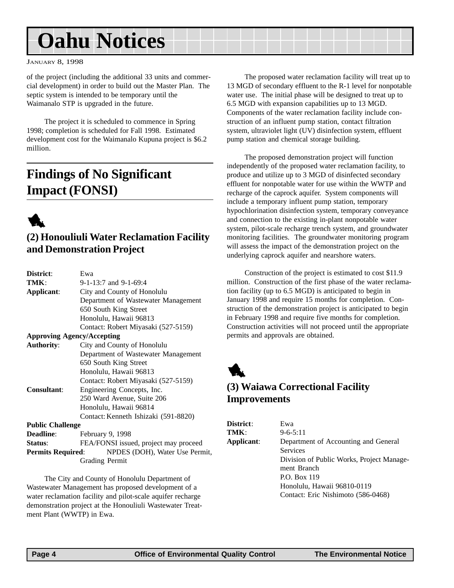#### <span id="page-3-0"></span>JANUARY 8, 1998

of the project (including the additional 33 units and commercial development) in order to build out the Master Plan. The septic system is intended to be temporary until the Waimanalo STP is upgraded in the future.

The project it is scheduled to commence in Spring 1998; completion is scheduled for Fall 1998. Estimated development cost for the Waimanalo Kupuna project is \$6.2 million.

## **Findings of No Significant Impact (FONSI)**



### **(2) Honouliuli Water Reclamation Facility and Demonstration Project**

| District:                         | Ewa                                   |
|-----------------------------------|---------------------------------------|
| TMK:                              | 9-1-13:7 and 9-1-69:4                 |
| Applicant:                        | City and County of Honolulu           |
|                                   | Department of Wastewater Management   |
|                                   | 650 South King Street                 |
|                                   | Honolulu, Hawaii 96813                |
|                                   | Contact: Robert Miyasaki (527-5159)   |
| <b>Approving Agency/Accepting</b> |                                       |
| <b>Authority:</b>                 | City and County of Honolulu           |
|                                   | Department of Wastewater Management   |
|                                   | 650 South King Street                 |
|                                   | Honolulu, Hawaii 96813                |
|                                   | Contact: Robert Miyasaki (527-5159)   |
| Consultant:                       | Engineering Concepts, Inc.            |
|                                   | 250 Ward Avenue, Suite 206            |
|                                   | Honolulu, Hawaii 96814                |
|                                   | Contact: Kenneth Ishizaki (591-8820)  |
| <b>Public Challenge</b>           |                                       |
| <b>Deadline:</b>                  | February 9, 1998                      |
| Status:                           | FEA/FONSI issued, project may proceed |
| <b>Permits Required:</b>          | NPDES (DOH), Water Use Permit,        |
|                                   | Grading Permit                        |
|                                   |                                       |

The City and County of Honolulu Department of Wastewater Management has proposed development of a water reclamation facility and pilot-scale aquifer recharge demonstration project at the Honouliuli Wastewater Treatment Plant (WWTP) in Ewa.

The proposed water reclamation facility will treat up to 13 MGD of secondary effluent to the R-1 level for nonpotable water use. The initial phase will be designed to treat up to 6.5 MGD with expansion capabilities up to 13 MGD. Components of the water reclamation facility include construction of an influent pump station, contact filtration system, ultraviolet light (UV) disinfection system, effluent pump station and chemical storage building.

The proposed demonstration project will function independently of the proposed water reclamation facility, to produce and utilize up to 3 MGD of disinfected secondary effluent for nonpotable water for use within the WWTP and recharge of the caprock aquifer. System components will include a temporary influent pump station, temporary hypochlorination disinfection system, temporary conveyance and connection to the existing in-plant nonpotable water system, pilot-scale recharge trench system, and groundwater monitoring facilities. The groundwater monitoring program will assess the impact of the demonstration project on the underlying caprock aquifer and nearshore waters.

Construction of the project is estimated to cost \$11.9 million. Construction of the first phase of the water reclamation facility (up to 6.5 MGD) is anticipated to begin in January 1998 and require 15 months for completion. Construction of the demonstration project is anticipated to begin in February 1998 and require five months for completion. Construction activities will not proceed until the appropriate permits and approvals are obtained.



### **(3) Waiawa Correctional Facility Improvements**

| <b>District:</b> | Ewa                                       |
|------------------|-------------------------------------------|
| TMK:             | $9 - 6 - 5:11$                            |
| Applicant:       | Department of Accounting and General      |
|                  | <b>Services</b>                           |
|                  | Division of Public Works, Project Manage- |
|                  | ment Branch                               |
|                  | P.O. Box 119                              |
|                  | Honolulu, Hawaii 96810-0119               |
|                  | Contact: Eric Nishimoto (586-0468)        |
|                  |                                           |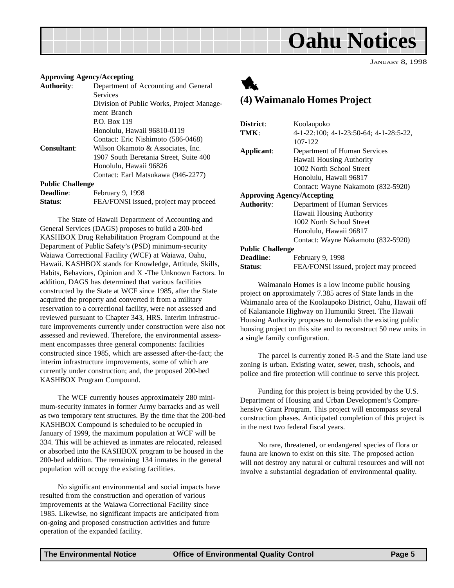JANUARY 8, 1998

#### <span id="page-4-0"></span>**Approving Agency/Accepting**

| <b>Authority:</b>       | Department of Accounting and General      |
|-------------------------|-------------------------------------------|
|                         | <b>Services</b>                           |
|                         | Division of Public Works, Project Manage- |
|                         | ment Branch                               |
|                         | P.O. Box 119                              |
|                         | Honolulu, Hawaii 96810-0119               |
|                         | Contact: Eric Nishimoto (586-0468)        |
| <b>Consultant:</b>      | Wilson Okamoto & Associates, Inc.         |
|                         | 1907 South Beretania Street, Suite 400    |
|                         | Honolulu, Hawaii 96826                    |
|                         | Contact: Earl Matsukawa (946-2277)        |
| <b>Public Challenge</b> |                                           |
| <b>Deadline:</b>        | February 9, 1998                          |
|                         |                                           |

**Status:** FEA/FONSI issued, project may proceed

The State of Hawaii Department of Accounting and General Services (DAGS) proposes to build a 200-bed KASHBOX Drug Rehabilitation Program Compound at the Department of Public Safety's (PSD) minimum-security Waiawa Correctional Facility (WCF) at Waiawa, Oahu, Hawaii. KASHBOX stands for Knowledge, Attitude, Skills, Habits, Behaviors, Opinion and X -The Unknown Factors. In addition, DAGS has determined that various facilities constructed by the State at WCF since 1985, after the State acquired the property and converted it from a military reservation to a correctional facility, were not assessed and reviewed pursuant to Chapter 343, HRS. Interim infrastructure improvements currently under construction were also not assessed and reviewed. Therefore, the environmental assessment encompasses three general components: facilities constructed since 1985, which are assessed after-the-fact; the interim infrastructure improvements, some of which are currently under construction; and, the proposed 200-bed KASHBOX Program Compound.

The WCF currently houses approximately 280 minimum-security inmates in former Army barracks and as well as two temporary tent structures. By the time that the 200-bed KASHBOX Compound is scheduled to be occupied in January of 1999, the maximum population at WCF will be 334. This will be achieved as inmates are relocated, released or absorbed into the KASHBOX program to be housed in the 200-bed addition. The remaining 134 inmates in the general population will occupy the existing facilities.

No significant environmental and social impacts have resulted from the construction and operation of various improvements at the Waiawa Correctional Facility since 1985. Likewise, no significant impacts are anticipated from on-going and proposed construction activities and future operation of the expanded facility.



### **(4) Waimanalo Homes Project**

| District:                                         | Koolaupoko                             |  |
|---------------------------------------------------|----------------------------------------|--|
| TMK:                                              | 4-1-22:100; 4-1-23:50-64; 4-1-28:5-22, |  |
|                                                   | 107-122                                |  |
| Applicant:                                        | Department of Human Services           |  |
|                                                   | Hawaii Housing Authority               |  |
|                                                   | 1002 North School Street               |  |
|                                                   | Honolulu, Hawaii 96817                 |  |
|                                                   | Contact: Wayne Nakamoto (832-5920)     |  |
| <b>Approving Agency/Accepting</b>                 |                                        |  |
| <b>Authority:</b><br>Department of Human Services |                                        |  |
|                                                   | Hawaii Housing Authority               |  |
|                                                   | 1002 North School Street               |  |
|                                                   | Honolulu, Hawaii 96817                 |  |
|                                                   | Contact: Wayne Nakamoto (832-5920)     |  |
| <b>Public Challenge</b>                           |                                        |  |
| <b>Deadline:</b>                                  | February 9, 1998                       |  |
| <b>Status:</b>                                    | FEA/FONSI issued, project may proceed  |  |

Waimanalo Homes is a low income public housing project on approximately 7.385 acres of State lands in the Waimanalo area of the Koolaupoko District, Oahu, Hawaii off of Kalanianole Highway on Humuniki Street. The Hawaii Housing Authority proposes to demolish the existing public housing project on this site and to reconstruct 50 new units in a single family configuration.

The parcel is currently zoned R-5 and the State land use zoning is urban. Existing water, sewer, trash, schools, and police and fire protection will continue to serve this project.

Funding for this project is being provided by the U.S. Department of Housing and Urban Development's Comprehensive Grant Program. This project will encompass several construction phases. Anticipated completion of this project is in the next two federal fiscal years.

No rare, threatened, or endangered species of flora or fauna are known to exist on this site. The proposed action will not destroy any natural or cultural resources and will not involve a substantial degradation of environmental quality.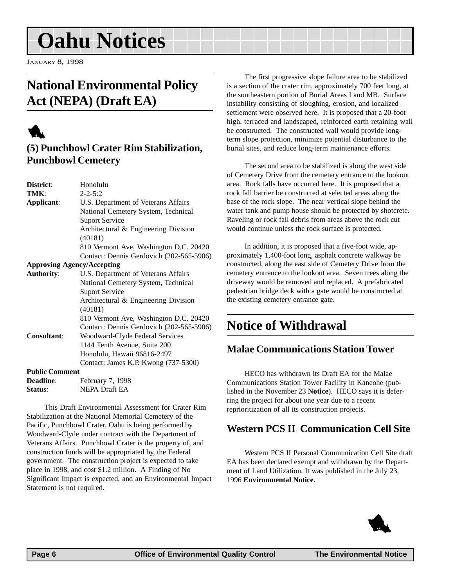<span id="page-5-0"></span>JANUARY 8, 1998

## **National Environmental Policy Act (NEPA) (Draft EA)**

## 1

## **(5) Punchbowl Crater Rim Stabilization, Punchbowl Cemetery**

| District:                                                | Honolulu                                 |  |  |
|----------------------------------------------------------|------------------------------------------|--|--|
| TMK:                                                     | $2 - 2 - 5:2$                            |  |  |
| Applicant:                                               | U.S. Department of Veterans Affairs      |  |  |
|                                                          | National Cemetery System, Technical      |  |  |
|                                                          | <b>Suport Service</b>                    |  |  |
|                                                          | Architectural & Engineering Division     |  |  |
|                                                          | (40181)                                  |  |  |
|                                                          | 810 Vermont Ave, Washington D.C. 20420   |  |  |
|                                                          | Contact: Dennis Gerdovich (202-565-5906) |  |  |
| <b>Approving Agency/Accepting</b>                        |                                          |  |  |
| <b>Authority:</b><br>U.S. Department of Veterans Affairs |                                          |  |  |
|                                                          | National Cemetery System, Technical      |  |  |
|                                                          | <b>Suport Service</b>                    |  |  |
|                                                          | Architectural & Engineering Division     |  |  |
|                                                          | (40181)                                  |  |  |
|                                                          | 810 Vermont Ave, Washington D.C. 20420   |  |  |
|                                                          | Contact: Dennis Gerdovich (202-565-5906) |  |  |
| Consultant:                                              | Woodward-Clyde Federal Services          |  |  |
|                                                          | 1144 Tenth Avenue, Suite 200             |  |  |
|                                                          | Honolulu, Hawaii 96816-2497              |  |  |
|                                                          | Contact: James K.P. Kwong (737-5300)     |  |  |
| <b>Public Comment</b>                                    |                                          |  |  |
| <b>Deadline:</b>                                         | February 7, 1998                         |  |  |
| Status:                                                  | <b>NEPA Draft EA</b>                     |  |  |

This Draft Environmental Assessment for Crater Rim Stabilization at the National Memorial Cemetery of the Pacific, Punchbowl Crater, Oahu is being performed by Woodward-Clyde under contract with the Department of Veterans Affairs. Punchbowl Crater is the property of, and construction funds will be appropriated by, the Federal government. The construction project is expected to take place in 1998, and cost \$1.2 million. A Finding of No Significant Impact is expected, and an Environmental Impact Statement is not required.

The first progressive slope failure area to be stabilized is a section of the crater rim, approximately 700 feet long, at the southeastern portion of Burial Areas I and MB. Surface instability consisting of sloughing, erosion, and localized settlement were observed here. It is proposed that a 20-foot high, terraced and landscaped, reinforced earth retaining wall be constructed. The constructed wall would provide longterm slope protection, minimize potential disturbance to the burial sites, and reduce long-term maintenance efforts.

The second area to be stabilized is along the west side of Cemetery Drive from the cemetery entrance to the lookout area. Rock falls have occurred here. It is proposed that a rock fall barrier be constructed at selected areas along the base of the rock slope. The near-vertical slope behind the water tank and pump house should be protected by shotcrete. Raveling or rock fall debris from areas above the rock cut would continue unless the rock surface is protected.

In addition, it is proposed that a five-foot wide, approximately 1,400-foot long, asphalt concrete walkway be constructed, along the east side of Cemetery Drive from the cemetery entrance to the lookout area. Seven trees along the driveway would be removed and replaced. A prefabricated pedestrian bridge deck with a gate would be constructed at the existing cemetery entrance gate.

## **Notice of Withdrawal**

## **Malae Communications Station Tower**

HECO has withdrawn its Draft EA for the Malae Communications Station Tower Facility in Kaneohe (published in the November 23 **Notice**). HECO says it is deferring the project for about one year due to a recent reprioritization of all its construction projects.

### **Western PCS II Communication Cell Site**

Western PCS II Personal Communication Cell Site draft EA has been declared exempt and withdrawn by the Department of Land Utilization. It was published in the July 23, 1996 **Environmental Notice**.

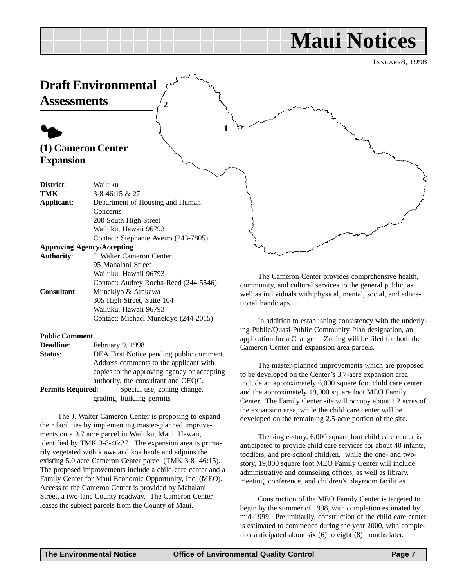## **Maui Notices**

JANUARY8, 1998

<span id="page-6-0"></span>

The Cameron Center provides comprehensive health, community, and cultural services to the general public, as well as individuals with physical, mental, social, and educational handicaps.

In addition to establishing consistency with the underlying Public/Quasi-Public Community Plan designation, an application for a Change in Zoning will be filed for both the Cameron Center and expansion area parcels.

The master-planned improvements which are proposed to be developed on the Center's 3.7-acre expansion area include an approximately 6,000 square foot child care center and the approximately 19,000 square foot MEO Family Center. The Family Center site will occupy about 1.2 acres of the expansion area, while the child care center will be developed on the remaining 2.5-acre portion of the site.

The single-story, 6,000 square foot child care center is anticipated to provide child care services for about 40 infants, toddlers, and pre-school children, while the one- and twostory, 19,000 square foot MEO Family Center will include administrative and counseling offices, as well as library, meeting, conference, and children's playroom facilities.

Construction of the MEO Family Center is targeted to begin by the summer of 1998, with completion estimated by mid-1999. Preliminarily, construction of the child care center is estimated to commence during the year 2000, with completion anticipated about six (6) to eight (8) months later.

## **Public Comment**

| <b>Deadline:</b> | February 9, 1998 |  |
|------------------|------------------|--|
|                  |                  |  |

**Consultant**: Munekiyo & Arakawa

**Status**: DEA First Notice pending public comment. Address comments to the applicant with copies to the approving agency or accepting authority, the consultant and OEQC.

305 High Street, Suite 104 Wailuku, Hawaii 96793

Contact: Audrey Rocha-Reed (244-5546)

Contact: Michael Munekiyo (244-2015)

**Permits Required:** Special use, zoning change, grading, building permits

The J. Walter Cameron Center is proposing to expand their facilities by implementing master-planned improvements on a 3.7 acre parcel in Wailuku, Maui, Hawaii, identified by TMK 3-8-46:27. The expansion area is primarily vegetated with kiawe and koa haole and adjoins the existing 5.0 acre Cameron Center parcel (TMK 3-8- 46:15). The proposed improvements include a child-care center and a Family Center for Maui Economic Opportunity, Inc. (MEO). Access to the Cameron Center is provided by Mahalani Street, a two-lane County roadway. The Cameron Center leases the subject parcels from the County of Maui.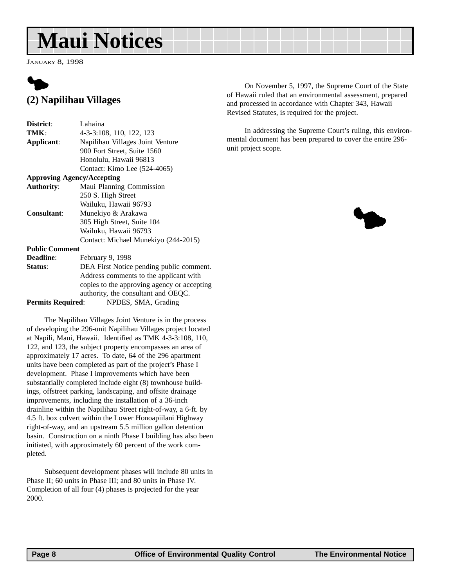## <span id="page-7-0"></span>**Maui Notices**

JANUARY 8, 1998



### **(2) Napilihau Villages**

| District:                         | Lahaina                                     |  |  |
|-----------------------------------|---------------------------------------------|--|--|
| TMK:                              | 4-3-3:108, 110, 122, 123                    |  |  |
| Applicant:                        | Napilihau Villages Joint Venture            |  |  |
|                                   | 900 Fort Street, Suite 1560                 |  |  |
|                                   | Honolulu, Hawaii 96813                      |  |  |
|                                   | Contact: Kimo Lee (524-4065)                |  |  |
| <b>Approving Agency/Accepting</b> |                                             |  |  |
| <b>Authority:</b>                 | Maui Planning Commission                    |  |  |
|                                   | 250 S. High Street                          |  |  |
|                                   | Wailuku, Hawaii 96793                       |  |  |
| <b>Consultant:</b>                | Munekiyo & Arakawa                          |  |  |
|                                   | 305 High Street, Suite 104                  |  |  |
|                                   | Wailuku, Hawaii 96793                       |  |  |
|                                   | Contact: Michael Munekiyo (244-2015)        |  |  |
| <b>Public Comment</b>             |                                             |  |  |
| <b>Deadline:</b>                  | February 9, 1998                            |  |  |
| Status:                           | DEA First Notice pending public comment.    |  |  |
|                                   | Address comments to the applicant with      |  |  |
|                                   | copies to the approving agency or accepting |  |  |
|                                   | authority, the consultant and OEQC.         |  |  |
|                                   |                                             |  |  |

**Permits Required**: NPDES, SMA, Grading

The Napilihau Villages Joint Venture is in the process of developing the 296-unit Napilihau Villages project located at Napili, Maui, Hawaii. Identified as TMK 4-3-3:108, 110, 122, and 123, the subject property encompasses an area of approximately 17 acres. To date, 64 of the 296 apartment units have been completed as part of the project's Phase I development. Phase I improvements which have been substantially completed include eight (8) townhouse buildings, offstreet parking, landscaping, and offsite drainage improvements, including the installation of a 36-inch drainline within the Napilihau Street right-of-way, a 6-ft. by 4.5 ft. box culvert within the Lower Honoapiilani Highway right-of-way, and an upstream 5.5 million gallon detention basin. Construction on a ninth Phase I building has also been initiated, with approximately 60 percent of the work completed.

Subsequent development phases will include 80 units in Phase II; 60 units in Phase III; and 80 units in Phase IV. Completion of all four (4) phases is projected for the year 2000.

On November 5, 1997, the Supreme Court of the State of Hawaii ruled that an environmental assessment, prepared and processed in accordance with Chapter 343, Hawaii Revised Statutes, is required for the project.

In addressing the Supreme Court's ruling, this environmental document has been prepared to cover the entire 296 unit project scope.

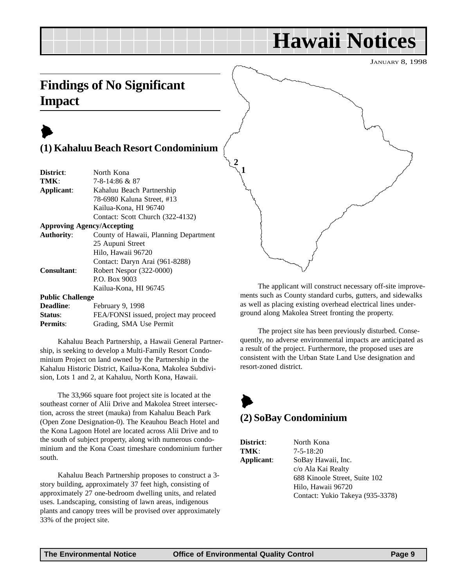## **Hawaii Notices**

JANUARY 8, 1998

## <span id="page-8-0"></span>**Findings of No Significant Impact**

## $\blacktriangleright$ **(1) Kahaluu Beach Resort Condominium**

| District:               | North Kona                            |
|-------------------------|---------------------------------------|
| TMK:                    | 7-8-14:86 & 87                        |
| Applicant:              | Kahaluu Beach Partnership             |
|                         | 78-6980 Kaluna Street, #13            |
|                         | Kailua-Kona, HI 96740                 |
|                         | Contact: Scott Church (322-4132)      |
|                         | <b>Approving Agency/Accepting</b>     |
| <b>Authority:</b>       | County of Hawaii, Planning Department |
|                         | 25 Aupuni Street                      |
|                         | Hilo, Hawaii 96720                    |
|                         | Contact: Daryn Arai (961-8288)        |
| <b>Consultant:</b>      | Robert Nespor (322-0000)              |
|                         | P.O. Box 9003                         |
|                         | Kailua-Kona, HI 96745                 |
| <b>Public Challenge</b> |                                       |
| Deadline:               | February 9, 1998                      |
| Status:                 | FEA/FONSI issued, project may proceed |
| <b>Permits:</b>         | Grading, SMA Use Permit               |

Kahaluu Beach Partnership, a Hawaii General Partnership, is seeking to develop a Multi-Family Resort Condominium Project on land owned by the Partnership in the Kahaluu Historic District, Kailua-Kona, Makolea Subdivision, Lots 1 and 2, at Kahaluu, North Kona, Hawaii.

The 33,966 square foot project site is located at the southeast corner of Alii Drive and Makolea Street intersection, across the street (mauka) from Kahaluu Beach Park (Open Zone Designation-0). The Keauhou Beach Hotel and the Kona Lagoon Hotel are located across Alii Drive and to the south of subject property, along with numerous condominium and the Kona Coast timeshare condominium further south.

Kahaluu Beach Partnership proposes to construct a 3 story building, approximately 37 feet high, consisting of approximately 27 one-bedroom dwelling units, and related uses. Landscaping, consisting of lawn areas, indigenous plants and canopy trees will be provised over approximately 33% of the project site.



The applicant will construct necessary off-site improvements such as County standard curbs, gutters, and sidewalks as well as placing existing overhead electrical lines underground along Makolea Street fronting the property.

The project site has been previously disturbed. Consequently, no adverse environmental impacts are anticipated as a result of the project. Furthermore, the proposed uses are consistent with the Urban State Land Use designation and resort-zoned district.

## $\blacktriangleright$ **(2) SoBay Condominium**

**District**: North Kona **TMK**: 7-5-18:20 **Applicant**: SoBay Hawaii, Inc. c/o Ala Kai Realty 688 Kinoole Street, Suite 102 Hilo, Hawaii 96720 Contact: Yukio Takeya (935-3378)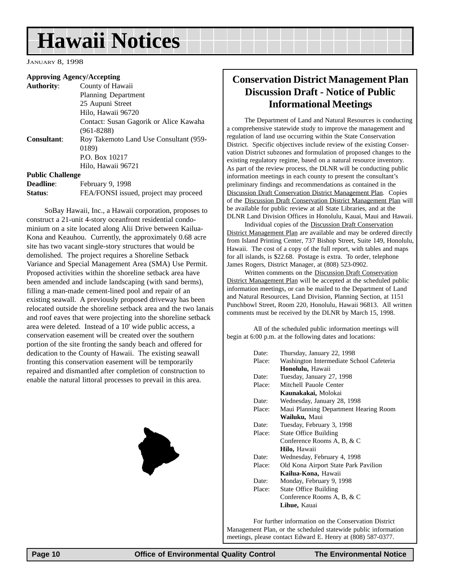## **Hawaii Notices**

JANUARY 8, 1998

#### **Approving Agency/Accepting**

**Authority**: County of Hawaii Planning Department 25 Aupuni Street Hilo, Hawaii 96720 Contact: Susan Gagorik or Alice Kawaha (961-8288) **Consultant**: Roy Takemoto Land Use Consultant (959- 0189) P.O. Box 10217 Hilo, Hawaii 96721 **Public Challenge**

| <b>Deadline:</b> | February 9, 1998                      |
|------------------|---------------------------------------|
| Status:          | FEA/FONSI issued, project may proceed |

SoBay Hawaii, Inc., a Hawaii corporation, proposes to construct a 21-unit 4-story oceanfront residential condominium on a site located along Alii Drive between Kailua-Kona and Keauhou. Currently, the approximately 0.68 acre site has two vacant single-story structures that would be demolished. The project requires a Shoreline Setback Variance and Special Management Area (SMA) Use Permit. Proposed activities within the shoreline setback area have been amended and include landscaping (with sand berms), filling a man-made cement-lined pool and repair of an existing seawall. A previously proposed driveway has been relocated outside the shoreline setback area and the two lanais and roof eaves that were projecting into the shoreline setback area were deleted. Instead of a 10' wide public access, a conservation easement will be created over the southern portion of the site fronting the sandy beach and offered for dedication to the County of Hawaii. The existing seawall fronting this conservation easement will be temporarily repaired and dismantled after completion of construction to enable the natural littoral processes to prevail in this area.



### **Conservation District Management Plan Discussion Draft - Notice of Public Informational Meetings**

The Department of Land and Natural Resources is conducting a comprehensive statewide study to improve the management and regulation of land use occurring within the State Conservation District. Specific objectives include review of the existing Conservation District subzones and formulation of proposed changes to the existing regulatory regime, based on a natural resource inventory. As part of the review process, the DLNR will be conducting public information meetings in each county to present the consultant's preliminary findings and recommendations as contained in the Discussion Draft Conservation District Management Plan. Copies of the Discussion Draft Conservation District Management Plan will be available for public review at all State Libraries, and at the DLNR Land Division Offices in Honolulu, Kauai, Maui and Hawaii.

Individual copies of the Discussion Draft Conservation District Management Plan are available and may be ordered directly from Island Printing Center, 737 Bishop Street, Suite 149, Honolulu, Hawaii. The cost of a copy of the full report, with tables and maps for all islands, is \$22.68. Postage is extra. To order, telephone James Rogers, District Manager, at (808) 523-0902.

Written comments on the Discussion Draft Conservation District Management Plan will be accepted at the scheduled public information meetings, or can be mailed to the Department of Land and Natural Resources, Land Division, Planning Section, at 1151 Punchbowl Street, Room 220, Honolulu, Hawaii 96813. All written comments must be received by the DLNR by March 15, 1998.

All of the scheduled public information meetings will begin at 6:00 p.m. at the following dates and locations:

| Date:  | Thursday, January 22, 1998               |
|--------|------------------------------------------|
| Place: | Washington Intermediate School Cafeteria |
|        | Honolulu, Hawaii                         |
| Date:  | Tuesday, January 27, 1998                |
| Place: | Mitchell Pauole Center                   |
|        | Kaunakakai, Molokai                      |
| Date:  | Wednesday, January 28, 1998              |
| Place: | Maui Planning Department Hearing Room    |
|        | Wailuku, Maui                            |
| Date:  | Tuesday, February 3, 1998                |
| Place: | <b>State Office Building</b>             |
|        | Conference Rooms A, B, & C               |
|        | Hilo, Hawaii                             |
| Date:  | Wednesday, February 4, 1998              |
| Place: | Old Kona Airport State Park Pavilion     |
|        | Kailua-Kona, Hawaii                      |
| Date:  | Monday, February 9, 1998                 |
| Place: | <b>State Office Building</b>             |
|        | Conference Rooms A, B, & C               |
|        | Lihue, Kauai                             |

For further information on the Conservation District Management Plan, or the scheduled statewide public information meetings, please contact Edward E. Henry at (808) 587-0377.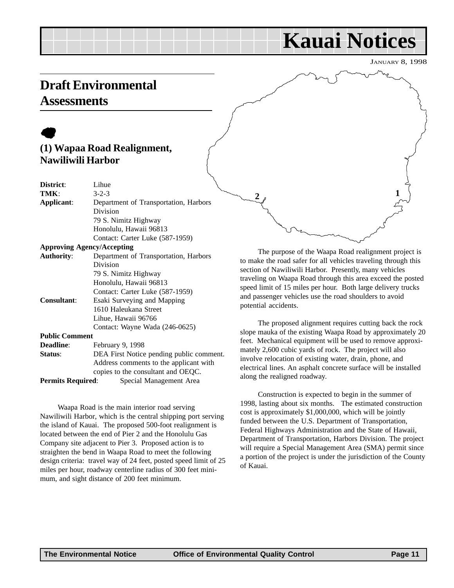## **Kauai Notices**

JANUARY 8, 1998

## <span id="page-10-0"></span>**Draft Environmental Assessments**

## $\bullet$ **(1) Wapaa Road Realignment, Nawiliwili Harbor**

| District:                | Lihue                                    |
|--------------------------|------------------------------------------|
| TMK:                     | $3 - 2 - 3$                              |
| Applicant:               | Department of Transportation, Harbors    |
|                          | Division                                 |
|                          | 79 S. Nimitz Highway                     |
|                          | Honolulu, Hawaii 96813                   |
|                          | Contact: Carter Luke (587-1959)          |
|                          | <b>Approving Agency/Accepting</b>        |
| <b>Authority:</b>        | Department of Transportation, Harbors    |
|                          | Division                                 |
|                          | 79 S. Nimitz Highway                     |
|                          | Honolulu, Hawaii 96813                   |
|                          | Contact: Carter Luke (587-1959)          |
| <b>Consultant:</b>       | Esaki Surveying and Mapping              |
|                          | 1610 Haleukana Street                    |
|                          | Lihue, Hawaii 96766                      |
|                          | Contact: Wayne Wada (246-0625)           |
| <b>Public Comment</b>    |                                          |
| <b>Deadline:</b>         | February 9, 1998                         |
| Status:                  | DEA First Notice pending public comment. |
|                          | Address comments to the applicant with   |
|                          | copies to the consultant and OEQC.       |
| <b>Permits Required:</b> | Special Management Area                  |

Waapa Road is the main interior road serving Nawiliwili Harbor, which is the central shipping port serving the island of Kauai. The proposed 500-foot realignment is located between the end of Pier 2 and the Honolulu Gas Company site adjacent to Pier 3. Proposed action is to straighten the bend in Waapa Road to meet the following design criteria: travel way of 24 feet, posted speed limit of 25 miles per hour, roadway centerline radius of 300 feet minimum, and sight distance of 200 feet minimum.

 $2 \frac{1}{2}$ 

The purpose of the Waapa Road realignment project is to make the road safer for all vehicles traveling through this section of Nawiliwili Harbor. Presently, many vehicles traveling on Waapa Road through this area exceed the posted speed limit of 15 miles per hour. Both large delivery trucks and passenger vehicles use the road shoulders to avoid potential accidents.

The proposed alignment requires cutting back the rock slope mauka of the existing Waapa Road by approximately 20 feet. Mechanical equipment will be used to remove approximately 2,600 cubic yards of rock. The project will also involve relocation of existing water, drain, phone, and electrical lines. An asphalt concrete surface will be installed along the realigned roadway.

Construction is expected to begin in the summer of 1998, lasting about six months. The estimated construction cost is approximately \$1,000,000, which will be jointly funded between the U.S. Department of Transportation, Federal Highways Administration and the State of Hawaii, Department of Transportation, Harbors Division. The project will require a Special Management Area (SMA) permit since a portion of the project is under the jurisdiction of the County of Kauai.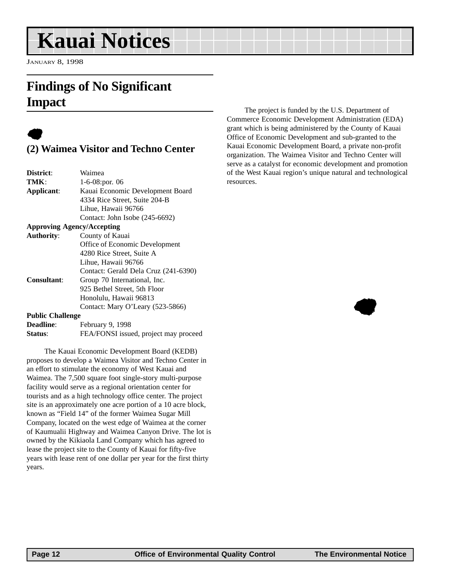## <span id="page-11-0"></span>**Kauai Notices**

JANUARY 8, 1998

## **Findings of No Significant Impact**

## $\bullet$

### **(2) Waimea Visitor and Techno Center**

| District:                            | Waimea                               |  |
|--------------------------------------|--------------------------------------|--|
| TMK:                                 | 1-6-08:por. 06                       |  |
| Applicant:                           | Kauai Economic Development Board     |  |
|                                      | 4334 Rice Street, Suite 204-B        |  |
|                                      | Lihue, Hawaii 96766                  |  |
|                                      | Contact: John Isobe (245-6692)       |  |
| <b>Approving Agency/Accepting</b>    |                                      |  |
| <b>Authority:</b><br>County of Kauai |                                      |  |
|                                      | Office of Economic Development       |  |
|                                      | 4280 Rice Street, Suite A            |  |
|                                      | Lihue, Hawaii 96766                  |  |
|                                      | Contact: Gerald Dela Cruz (241-6390) |  |
| <b>Consultant:</b>                   | Group 70 International, Inc.         |  |
|                                      | 925 Bethel Street, 5th Floor         |  |
|                                      | Honolulu, Hawaii 96813               |  |
|                                      | Contact: Mary O'Leary (523-5866)     |  |
| <b>Public Challenge</b>              |                                      |  |
|                                      |                                      |  |

| <b>Deadline:</b> | February 9, 1998                      |
|------------------|---------------------------------------|
| Status:          | FEA/FONSI issued, project may proceed |

The Kauai Economic Development Board (KEDB) proposes to develop a Waimea Visitor and Techno Center in an effort to stimulate the economy of West Kauai and Waimea. The 7,500 square foot single-story multi-purpose facility would serve as a regional orientation center for tourists and as a high technology office center. The project site is an approximately one acre portion of a 10 acre block, known as "Field 14" of the former Waimea Sugar Mill Company, located on the west edge of Waimea at the corner of Kaumualii Highway and Waimea Canyon Drive. The lot is owned by the Kikiaola Land Company which has agreed to lease the project site to the County of Kauai for fifty-five years with lease rent of one dollar per year for the first thirty years.

The project is funded by the U.S. Department of Commerce Economic Development Administration (EDA) grant which is being administered by the County of Kauai Office of Economic Development and sub-granted to the Kauai Economic Development Board, a private non-profit organization. The Waimea Visitor and Techno Center will serve as a catalyst for economic development and promotion of the West Kauai region's unique natural and technological resources.

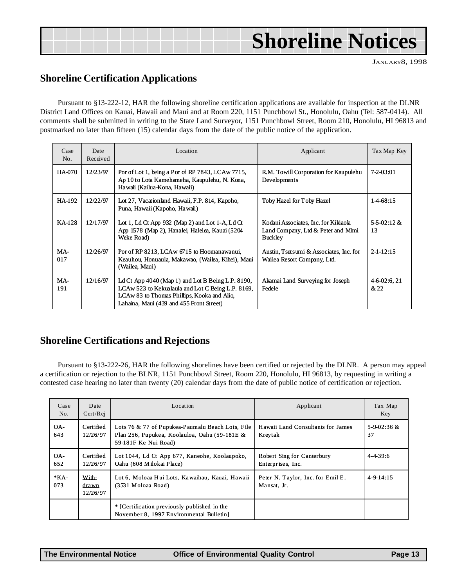## **Shoreline Notices**

JANUARY8, 1998

## **Shoreline Certification Applications**

Pursuant to §13-222-12, HAR the following shoreline certification applications are available for inspection at the DLNR District Land Offices on Kauai, Hawaii and Maui and at Room 220, 1151 Punchbowl St., Honolulu, Oahu (Tel: 587-0414). All comments shall be submitted in writing to the State Land Surveyor, 1151 Punchbowl Street, Room 210, Honolulu, HI 96813 and postmarked no later than fifteen (15) calendar days from the date of the public notice of the application.

| Case<br>N <sub>O</sub> | Date<br>Received | Location                                                                                                                                                                                            | Applicant                                                                                    | Tax Map Key           |
|------------------------|------------------|-----------------------------------------------------------------------------------------------------------------------------------------------------------------------------------------------------|----------------------------------------------------------------------------------------------|-----------------------|
| <b>HA-070</b>          | 12/23/97         | Por of Lot 1, being a Por of RP 7843, LCAw 7715,<br>Ap 10 to Lota Kamehameha, Kaupulehu, N. Kona,<br>Hawaii (Kailua-Kona, Hawaii)                                                                   | R.M. Towill Corporation for Kaupulehu<br>Developments                                        | 7-2-03:01             |
| HA-192                 | 12/22/97         | Lot 27, Vacation and Hawaii, F.P. 814, Kapoho,<br>Puna, Hawaii (Kapoho, Hawaii)                                                                                                                     | Toby Hazel for Toby Hazel                                                                    | 14-68:15              |
| KA-128                 | 12/17/97         | Lot 1, Ld Ct App 932 (Map 2) and Lot 1-A, Ld Ct<br>App 1578 (Map 2), Hanalei, Halelea, Kauai (5204)<br>Weke Road)                                                                                   | Kodani Associates, Inc. for Kikiaola<br>Land Company, Ltd & Peter and Mimi<br><b>Buckley</b> | $5-5-02:12 \&$<br>13  |
| MA-<br>017             | 12/26/97         | Por of RP 8213, LCAw 6715 to Hoomanawanui,<br>Keauhou, Honuaula, Makawao, (Wailea, Kihei), Maui<br>(Wailea, Maui)                                                                                   | Austin, Tsutsumi & Associates, Inc. for<br>Wailea Resort Company, Ltd.                       | $2 - 1 - 12:15$       |
| MA-<br>191             | 12/16/97         | Ld Ct App $4040$ (Map 1) and Lot B Being L.P. 8190,<br>LCAw 523 to Kekualaula and Lot C Being L.P. 8169,<br>LCAw 83 to Thomas Phillips, Kooka and Alio,<br>Lahaina, Maui (439 and 455 Front Street) | Akamai Land Surveying for Joseph<br>Fedele                                                   | $4-6-02:6, 21$<br>&22 |

### **Shoreline Certifications and Rejections**

Pursuant to §13-222-26, HAR the following shorelines have been certified or rejected by the DLNR. A person may appeal a certification or rejection to the BLNR, 1151 Punchbowl Street, Room 220, Honolulu, HI 96813, by requesting in writing a contested case hearing no later than twenty (20) calendar days from the date of public notice of certification or rejection.

| Case<br>No.  | Date<br>Cert/Rei           | Location                                                                                                                  | Applicant                                        | Tax Map<br>Key      |
|--------------|----------------------------|---------------------------------------------------------------------------------------------------------------------------|--------------------------------------------------|---------------------|
| OA-<br>643   | Certified<br>12/26/97      | Lots 76 & 77 of Pupukea-Paumalu Beach Lots, File<br>Plan 256, Pupukea, Koolauloa, Oahu (59-181E &<br>59-181F Ke Nui Road) | Hawaii Land Consultants for James<br>Kreytak     | 5-9-02:36 $&$<br>37 |
| OA-<br>652   | Certified<br>12/26/97      | Lot 1044, Ld Ct App 677, Kaneohe, Koolaupoko,<br>Oahu (608 Milokai Place)                                                 | Robert Sing for Canterbury<br>Enterprises, Inc.  | $4 - 4 - 39:6$      |
| $*KA$<br>073 | With-<br>drawn<br>12/26/97 | Lot 6, Moloaa Hui Lots, Kawaihau, Kauai, Hawaii<br>(3531 Moloaa Road)                                                     | Peter N. Taylor, Inc. for Emil E.<br>Mansat, Jr. | $4 - 9 - 14:15$     |
|              |                            | * [Certification previously published in the<br>November 8, 1997 Environmental Bulletin]                                  |                                                  |                     |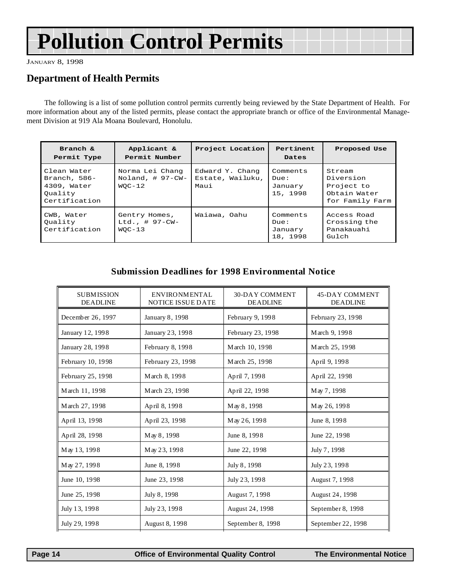## <span id="page-13-0"></span>**Pollution Control Permits**

JANUARY 8, 1998

### **Department of Health Permits**

The following is a list of some pollution control permits currently being reviewed by the State Department of Health. For more information about any of the listed permits, please contact the appropriate branch or office of the Environmental Management Division at 919 Ala Moana Boulevard, Honolulu.

| Branch $\&$<br>Permit Type                                             | Applicant &<br>Permit Number                       | Project Location                            | Pertinent<br>Dates                      | Proposed Use                                                         |
|------------------------------------------------------------------------|----------------------------------------------------|---------------------------------------------|-----------------------------------------|----------------------------------------------------------------------|
| Clean Water<br>Branch, 586-<br>4309, Water<br>Ouality<br>Certification | Norma Lei Chang<br>Noland, $\#$ 97-CW-<br>$WOC-12$ | Edward Y. Chang<br>Estate, Wailuku,<br>Maui | Comments<br>Due:<br>January<br>15, 1998 | Stream<br>Diversion<br>Project to<br>Obtain Water<br>for Family Farm |
| CWB, Water<br>Ouality<br>Certification                                 | Gentry Homes,<br>$Ltd.$ , # 97-CW-<br>$WOC-13$     | Waiawa, Oahu                                | Comments<br>Due:<br>January<br>18, 1998 | Access Road<br>Crossing the<br>Panakauahi<br>Gulch                   |

#### **Submission Deadlines for 1998 Environmental Notice**

| <b>SUBMISSION</b><br><b>DEADLINE</b> | <b>ENVIRONMENTAL</b><br>NOTICE ISSUE DATE | <b>30-DAY COMMENT</b><br><b>DEADLINE</b> | <b>45-DAY COMMENT</b><br><b>DEADLINE</b> |
|--------------------------------------|-------------------------------------------|------------------------------------------|------------------------------------------|
| December 26, 1997                    | January 8, 1998                           | February 9, 1998                         | February 23, 1998                        |
| January 12, 1998                     | January 23, 1998                          | February 23, 1998                        | March 9, 1998                            |
| January 28, 1998                     | February 8, 1998                          | March 10, 1998                           | March 25, 1998                           |
| February 10, 1998                    | February 23, 1998                         | March 25, 1998                           | April 9, 1998                            |
| February 25, 1998                    | March 8, 1998                             | April 7, 1998                            | April 22, 1998                           |
| March 11, 1998                       | March 23, 1998                            | April 22, 1998                           | May 7, 1998                              |
| March 27, 1998                       | April 8, 1998                             | May 8, 1998                              | May 26, 1998                             |
| April 13, 1998                       | April 23, 1998                            | May 26, 1998                             | June 8, 1998                             |
| April 28, 1998                       | May 8, 1998                               | June 8, 1998                             | June 22, 1998                            |
| May 13, 1998                         | May 23, 1998                              | June 22, 1998                            | July 7, 1998                             |
| May 27, 1998                         | June 8, 1998                              | July 8, 1998                             | July 23, 1998                            |
| June 10, 1998                        | June 23, 1998                             | July 23, 1998                            | August 7, 1998                           |
| June 25, 1998                        | July 8, 1998                              | August 7, 1998                           | August 24, 1998                          |
| July 13, 1998                        | July 23, 1998                             | August 24, 1998                          | September 8, 1998                        |
| July 29, 1998                        | August 8, 1998                            | September 8, 1998                        | September 22, 1998                       |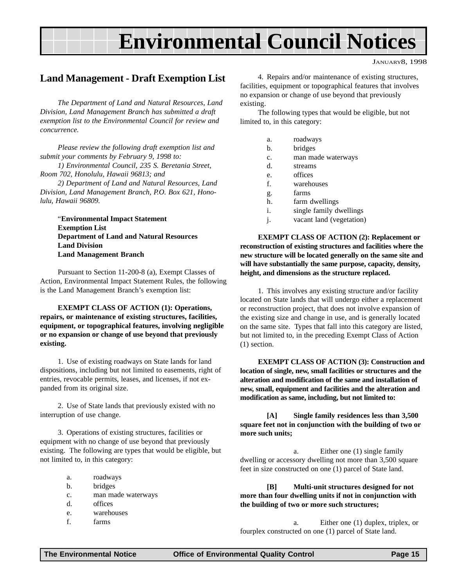## **Environmental Council Notices**

JANUARY8, 1998

### <span id="page-14-0"></span>**Land Management - Draft Exemption List**

*The Department of Land and Natural Resources, Land Division, Land Management Branch has submitted a draft exemption list to the Environmental Council for review and concurrence.*

*Please review the following draft exemption list and submit your comments by February 9, 1998 to:*

*1) Environmental Council, 235 S. Beretania Street, Room 702, Honolulu, Hawaii 96813; and*

*2) Department of Land and Natural Resources, Land Division, Land Management Branch, P.O. Box 621, Honolulu, Hawaii 96809.*

"**Environmental Impact Statement Exemption List Department of Land and Natural Resources Land Division Land Management Branch**

Pursuant to Section 11-200-8 (a), Exempt Classes of Action, Environmental Impact Statement Rules, the following is the Land Management Branch's exemption list:

**EXEMPT CLASS OF ACTION (1): Operations, repairs, or maintenance of existing structures, facilities, equipment, or topographical features, involving negligible or no expansion or change of use beyond that previously existing.**

1. Use of existing roadways on State lands for land dispositions, including but not limited to easements, right of entries, revocable permits, leases, and licenses, if not expanded from its original size.

2. Use of State lands that previously existed with no interruption of use change.

3. Operations of existing structures, facilities or equipment with no change of use beyond that previously existing. The following are types that would be eligible, but not limited to, in this category:

- a. roadways
- b. bridges
- c. man made waterways
- d. offices
- e. warehouses
- f. farms

4. Repairs and/or maintenance of existing structures, facilities, equipment or topographical features that involves no expansion or change of use beyond that previously existing.

The following types that would be eligible, but not limited to, in this category:

- a. roadways
- b. bridges
- c. man made waterways
- d. streams
- e. offices
- f. warehouses
- g. farms
- h. farm dwellings
- i. single family dwellings
- j. vacant land (vegetation)

**EXEMPT CLASS OF ACTION (2): Replacement or reconstruction of existing structures and facilities where the new structure will be located generally on the same site and will have substantially the same purpose, capacity, density, height, and dimensions as the structure replaced.**

1. This involves any existing structure and/or facility located on State lands that will undergo either a replacement or reconstruction project, that does not involve expansion of the existing size and change in use, and is generally located on the same site. Types that fall into this category are listed, but not limited to, in the preceding Exempt Class of Action (1) section.

**EXEMPT CLASS OF ACTION (3): Construction and location of single, new, small facilities or structures and the alteration and modification of the same and installation of new, small, equipment and facilities and the alteration and modification as same, including, but not limited to:**

**[A] Single family residences less than 3,500 square feet not in conjunction with the building of two or more such units;**

a. Either one (1) single family dwelling or accessory dwelling not more than 3,500 square feet in size constructed on one (1) parcel of State land.

**[B] Multi-unit structures designed for not more than four dwelling units if not in conjunction with the building of two or more such structures;**

a. Either one (1) duplex, triplex, or fourplex constructed on one (1) parcel of State land.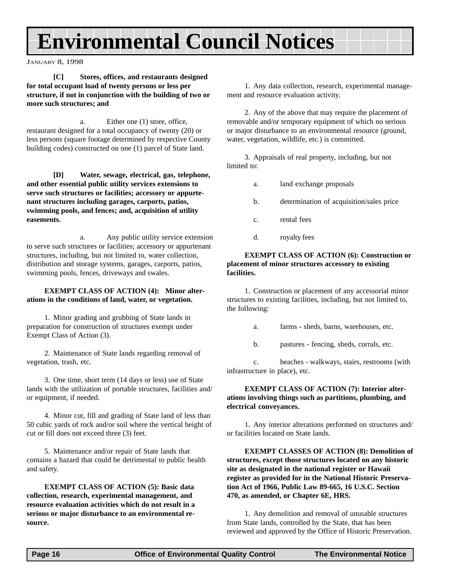## **Environmental Council Notices**

JANUARY 8, 1998

#### **[C] Stores, offices, and restaurants designed for total occupant load of twenty persons or less per structure, if not in conjunction with the building of two or more such structures; and**

a. Either one (1) store, office, restaurant designed for a total occupancy of twenty (20) or less persons (square footage determined by respective County building codes) constructed on one (1) parcel of State land.

**[D] Water, sewage, electrical, gas, telephone, and other essential public utility services extensions to serve such structures or facilities; accessory or appurtenant structures including garages, carports, patios, swimming pools, and fences; and, acquisition of utility easements.**

a. Any public utility service extension to serve such structures or facilities; accessory or appurtenant structures, including, but not limited to, water collection, distribution and storage systems, garages, carports, patios, swimming pools, fences, driveways and swales.

#### **EXEMPT CLASS OF ACTION (4): Minor alterations in the conditions of land, water, or vegetation.**

1. Minor grading and grubbing of State lands in preparation for construction of structures exempt under Exempt Class of Action (3).

2. Maintenance of State lands regarding removal of vegetation, trash, etc.

3. One time, short term (14 days or less) use of State lands with the utilization of portable structures, facilities and/ or equipment, if needed.

4. Minor cut, fill and grading of State land of less than 50 cubic yards of rock and/or soil where the vertical height of cut or fill does not exceed three (3) feet.

5. Maintenance and/or repair of State lands that contains a hazard that could be detrimental to public health and safety.

**EXEMPT CLASS OF ACTION (5): Basic data collection, research, experimental management, and resource evaluation activities which do not result in a serious or major disturbance to an environmental resource.**

1. Any data collection, research, experimental management and resource evaluation activity.

2. Any of the above that may require the placement of removable and/or temporary equipment of which no serious or major disturbance to an environmental resource (ground, water, vegetation, wildlife, etc.) is committed.

3. Appraisals of real property, including, but not limited to:

- a. land exchange proposals
- b. determination of acquisition/sales price
- c. rental fees
- d. royalty fees

#### **EXEMPT CLASS OF ACTION (6): Construction or placement of minor structures accessory to existing facilities.**

1. Construction or placement of any accessorial minor structures to existing facilities, including, but not limited to, the following:

- a. farms sheds, barns, warehouses, etc.
- b. pastures fencing, sheds, corrals, etc.

c. beaches - walkways, stairs, restrooms (with infrastructure in place), etc.

#### **EXEMPT CLASS OF ACTION (7): Interior alterations involving things such as partitions, plumbing, and electrical conveyances.**

1. Any interior alterations performed on structures and/ or facilities located on State lands.

**EXEMPT CLASSES OF ACTION (8): Demolition of structures, except those structures located on any historic site as designated in the national register or Hawaii register as provided for in the National Historic Preservation Act of 1966, Public Law 89-665, 16 U.S.C. Section 470, as amended, or Chapter 6E, HRS.**

1. Any demolition and removal of unusable structures from State lands, controlled by the State, that has been reviewed and approved by the Office of Historic Preservation.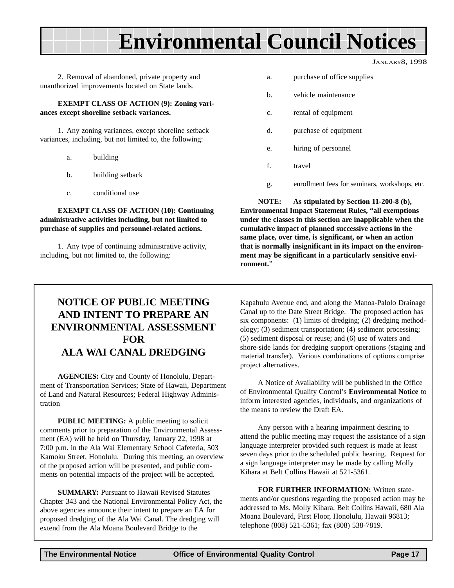## **Environmental Council Notices**

JANUARY8, 1998

2. Removal of abandoned, private property and unauthorized improvements located on State lands.

**EXEMPT CLASS OF ACTION (9): Zoning variances except shoreline setback variances.**

1. Any zoning variances, except shoreline setback variances, including, but not limited to, the following:

- a. building
- b. building setback
- c. conditional use

**EXEMPT CLASS OF ACTION (10): Continuing administrative activities including, but not limited to purchase of supplies and personnel-related actions.**

1. Any type of continuing administrative activity, including, but not limited to, the following:

- a. purchase of office supplies
- b. vehicle maintenance
- c. rental of equipment
- d. purchase of equipment
- e. hiring of personnel
- f. travel
- g. enrollment fees for seminars, workshops, etc.

**NOTE: As stipulated by Section 11-200-8 (b), Environmental Impact Statement Rules, "all exemptions under the classes in this section are inapplicable when the cumulative impact of planned successive actions in the same place, over time, is significant, or when an action that is normally insignificant in its impact on the environment may be significant in a particularly sensitive environment.**"

## **NOTICE OF PUBLIC MEETING AND INTENT TO PREPARE AN ENVIRONMENTAL ASSESSMENT FOR ALA WAI CANAL DREDGING**

**AGENCIES:** City and County of Honolulu, Department of Transportation Services; State of Hawaii, Department of Land and Natural Resources; Federal Highway Administration

**PUBLIC MEETING:** A public meeting to solicit comments prior to preparation of the Environmental Assessment (EA) will be held on Thursday, January 22, 1998 at 7:00 p.m. in the Ala Wai Elementary School Cafeteria, 503 Kamoku Street, Honolulu. During this meeting, an overview of the proposed action will be presented, and public comments on potential impacts of the project will be accepted.

**SUMMARY:** Pursuant to Hawaii Revised Statutes Chapter 343 and the National Environmental Policy Act, the above agencies announce their intent to prepare an EA for proposed dredging of the Ala Wai Canal. The dredging will extend from the Ala Moana Boulevard Bridge to the

Kapahulu Avenue end, and along the Manoa-Palolo Drainage Canal up to the Date Street Bridge. The proposed action has six components: (1) limits of dredging; (2) dredging methodology; (3) sediment transportation; (4) sediment processing; (5) sediment disposal or reuse; and (6) use of waters and shore-side lands for dredging support operations (staging and material transfer). Various combinations of options comprise project alternatives.

A Notice of Availability will be published in the Office of Environmental Quality Control's **Environmental Notice** to inform interested agencies, individuals, and organizations of the means to review the Draft EA.

Any person with a hearing impairment desiring to attend the public meeting may request the assistance of a sign language interpreter provided such request is made at least seven days prior to the scheduled public hearing. Request for a sign language interpreter may be made by calling Molly Kihara at Belt Collins Hawaii at 521-5361.

**FOR FURTHER INFORMATION:** Written statements and/or questions regarding the proposed action may be addressed to Ms. Molly Kihara, Belt Collins Hawaii, 680 Ala Moana Boulevard, First Floor, Honolulu, Hawaii 96813; telephone (808) 521-5361; fax (808) 538-7819.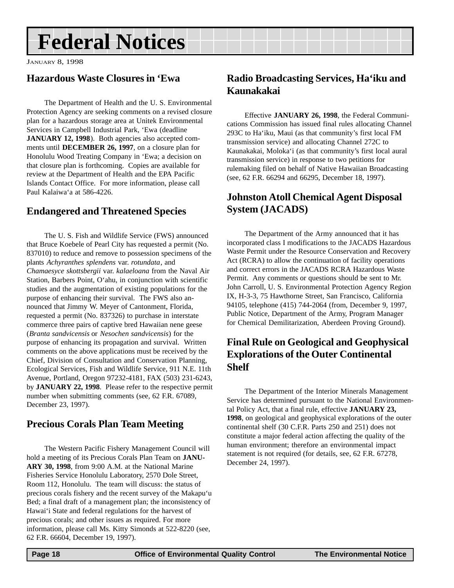## <span id="page-17-0"></span>**Federal Notices**

JANUARY 8, 1998

## **Hazardous Waste Closures in 'Ewa**

The Department of Health and the U. S. Environmental Protection Agency are seeking comments on a revised closure plan for a hazardous storage area at Unitek Environmental Services in Campbell Industrial Park, 'Ewa (deadline JANUARY 12, 1998). Both agencies also accepted comments until **DECEMBER 26, 1997**, on a closure plan for Honolulu Wood Treating Company in 'Ewa; a decision on that closure plan is forthcoming. Copies are available for review at the Department of Health and the EPA Pacific Islands Contact Office. For more information, please call Paul Kalaiwa'a at 586-4226.

## **Endangered and Threatened Species**

The U. S. Fish and Wildlife Service (FWS) announced that Bruce Koebele of Pearl City has requested a permit (No. 837010) to reduce and remove to possession specimens of the plants *Achyranthes splendens* var. *rotundata*, and *Chamaesyce skottsbergii* var. *kalaeloana* from the Naval Air Station, Barbers Point, O'ahu, in conjunction with scientific studies and the augmentation of existing populations for the purpose of enhancing their survival. The FWS also announced that Jimmy W. Meyer of Cantonment, Florida, requested a permit (No. 837326) to purchase in interstate commerce three pairs of captive bred Hawaiian nene geese (*Branta sandvicensis* or *Nesochen sandvicensis*) for the purpose of enhancing its propagation and survival. Written comments on the above applications must be received by the Chief, Division of Consultation and Conservation Planning, Ecological Services, Fish and Wildlife Service, 911 N.E. 11th Avenue, Portland, Oregon 97232-4181, FAX (503) 231-6243, by **JANUARY 22, 1998**. Please refer to the respective permit number when submitting comments (see, 62 F.R. 67089, December 23, 1997).

## **Precious Corals Plan Team Meeting**

The Western Pacific Fishery Management Council will hold a meeting of its Precious Corals Plan Team on **JANU-ARY 30, 1998**, from 9:00 A.M. at the National Marine Fisheries Service Honolulu Laboratory, 2570 Dole Street, Room 112, Honolulu. The team will discuss: the status of precious corals fishery and the recent survey of the Makapu'u Bed; a final draft of a management plan; the inconsistency of Hawai'i State and federal regulations for the harvest of precious corals; and other issues as required. For more information, please call Ms. Kitty Simonds at 522-8220 (see, 62 F.R. 66604, December 19, 1997).

## **Radio Broadcasting Services, Ha'iku and Kaunakakai**

Effective **JANUARY 26, 1998**, the Federal Communications Commission has issued final rules allocating Channel 293C to Ha'iku, Maui (as that community's first local FM transmission service) and allocating Channel 272C to Kaunakakai, Moloka'i (as that community's first local aural transmission service) in response to two petitions for rulemaking filed on behalf of Native Hawaiian Broadcasting (see, 62 F.R. 66294 and 66295, December 18, 1997).

## **Johnston Atoll Chemical Agent Disposal System (JACADS)**

The Department of the Army announced that it has incorporated class I modifications to the JACADS Hazardous Waste Permit under the Resource Conservation and Recovery Act (RCRA) to allow the continuation of facility operations and correct errors in the JACADS RCRA Hazardous Waste Permit. Any comments or questions should be sent to Mr. John Carroll, U. S. Environmental Protection Agency Region IX, H-3-3, 75 Hawthorne Street, San Francisco, California 94105, telephone (415) 744-2064 (from, December 9, 1997, Public Notice, Department of the Army, Program Manager for Chemical Demilitarization, Aberdeen Proving Ground).

## **Final Rule on Geological and Geophysical Explorations of the Outer Continental Shelf**

The Department of the Interior Minerals Management Service has determined pursuant to the National Environmental Policy Act, that a final rule, effective **JANUARY 23, 1998**, on geological and geophysical explorations of the outer continental shelf (30 C.F.R. Parts 250 and 251) does not constitute a major federal action affecting the quality of the human environment; therefore an environmental impact statement is not required (for details, see, 62 F.R. 67278, December 24, 1997).